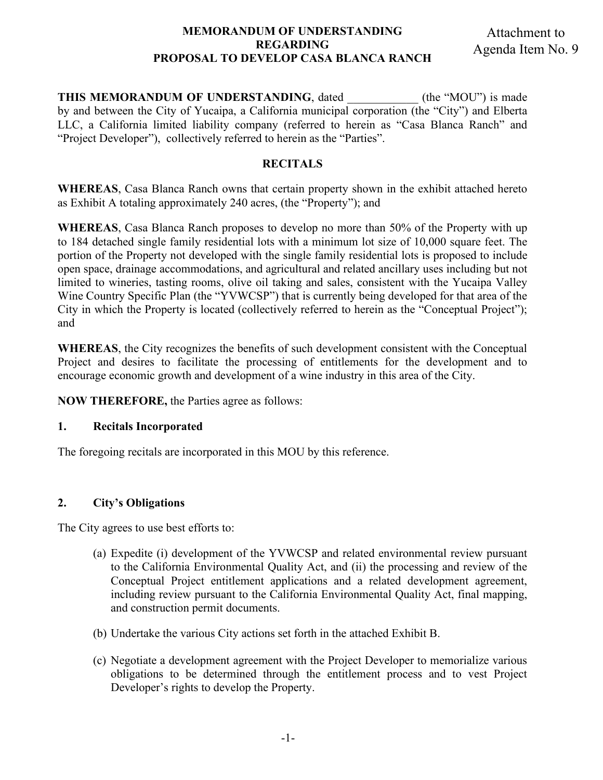#### **MEMORANDUM OF UNDERSTANDING REGARDING PROPOSAL TO DEVELOP CASA BLANCA RANCH**

**THIS MEMORANDUM OF UNDERSTANDING**, dated (the "MOU") is made by and between the City of Yucaipa, a California municipal corporation (the "City") and Elberta LLC, a California limited liability company (referred to herein as "Casa Blanca Ranch" and "Project Developer"), collectively referred to herein as the "Parties".

## **RECITALS**

**WHEREAS**, Casa Blanca Ranch owns that certain property shown in the exhibit attached hereto as Exhibit A totaling approximately 240 acres, (the "Property"); and

**WHEREAS**, Casa Blanca Ranch proposes to develop no more than 50% of the Property with up to 184 detached single family residential lots with a minimum lot size of 10,000 square feet. The portion of the Property not developed with the single family residential lots is proposed to include open space, drainage accommodations, and agricultural and related ancillary uses including but not limited to wineries, tasting rooms, olive oil taking and sales, consistent with the Yucaipa Valley Wine Country Specific Plan (the "YVWCSP") that is currently being developed for that area of the City in which the Property is located (collectively referred to herein as the "Conceptual Project"); and

**WHEREAS**, the City recognizes the benefits of such development consistent with the Conceptual Project and desires to facilitate the processing of entitlements for the development and to encourage economic growth and development of a wine industry in this area of the City.

**NOW THEREFORE,** the Parties agree as follows:

### **1. Recitals Incorporated**

The foregoing recitals are incorporated in this MOU by this reference.

## **2. City's Obligations**

The City agrees to use best efforts to:

- (a) Expedite (i) development of the YVWCSP and related environmental review pursuant to the California Environmental Quality Act, and (ii) the processing and review of the Conceptual Project entitlement applications and a related development agreement, including review pursuant to the California Environmental Quality Act, final mapping, and construction permit documents.
- (b) Undertake the various City actions set forth in the attached Exhibit B.
- (c) Negotiate a development agreement with the Project Developer to memorialize various obligations to be determined through the entitlement process and to vest Project Developer's rights to develop the Property.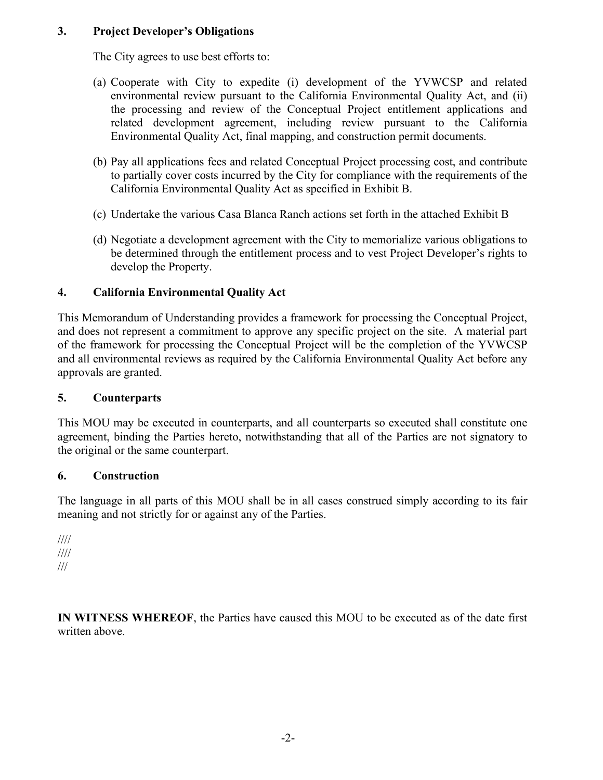## **3. Project Developer's Obligations**

The City agrees to use best efforts to:

- (a) Cooperate with City to expedite (i) development of the YVWCSP and related environmental review pursuant to the California Environmental Quality Act, and (ii) the processing and review of the Conceptual Project entitlement applications and related development agreement, including review pursuant to the California Environmental Quality Act, final mapping, and construction permit documents.
- (b) Pay all applications fees and related Conceptual Project processing cost, and contribute to partially cover costs incurred by the City for compliance with the requirements of the California Environmental Quality Act as specified in Exhibit B.
- (c) Undertake the various Casa Blanca Ranch actions set forth in the attached Exhibit B
- (d) Negotiate a development agreement with the City to memorialize various obligations to be determined through the entitlement process and to vest Project Developer's rights to develop the Property.

## **4. California Environmental Quality Act**

This Memorandum of Understanding provides a framework for processing the Conceptual Project, and does not represent a commitment to approve any specific project on the site. A material part of the framework for processing the Conceptual Project will be the completion of the YVWCSP and all environmental reviews as required by the California Environmental Quality Act before any approvals are granted.

## **5. Counterparts**

This MOU may be executed in counterparts, and all counterparts so executed shall constitute one agreement, binding the Parties hereto, notwithstanding that all of the Parties are not signatory to the original or the same counterpart.

#### **6. Construction**

The language in all parts of this MOU shall be in all cases construed simply according to its fair meaning and not strictly for or against any of the Parties.

//// //// ///

**IN WITNESS WHEREOF**, the Parties have caused this MOU to be executed as of the date first written above.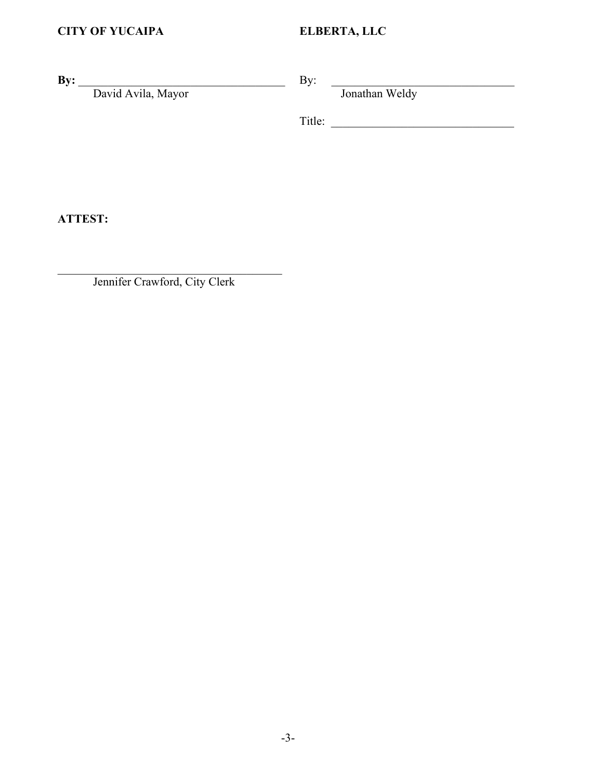**By:** \_\_\_\_\_\_\_\_\_\_\_\_\_\_\_\_\_\_\_\_\_\_\_\_\_\_\_\_\_\_\_\_\_\_\_

David Avila, Mayor

By:  $\Box$ 

Jonathan Weldy

Title: \_\_\_\_\_\_\_\_\_\_\_\_\_\_\_\_\_\_\_\_\_\_\_\_\_\_\_\_\_\_\_

**ATTEST:**

 $\mathcal{L}_\text{max}$  and  $\mathcal{L}_\text{max}$  and  $\mathcal{L}_\text{max}$  and  $\mathcal{L}_\text{max}$ Jennifer Crawford, City Clerk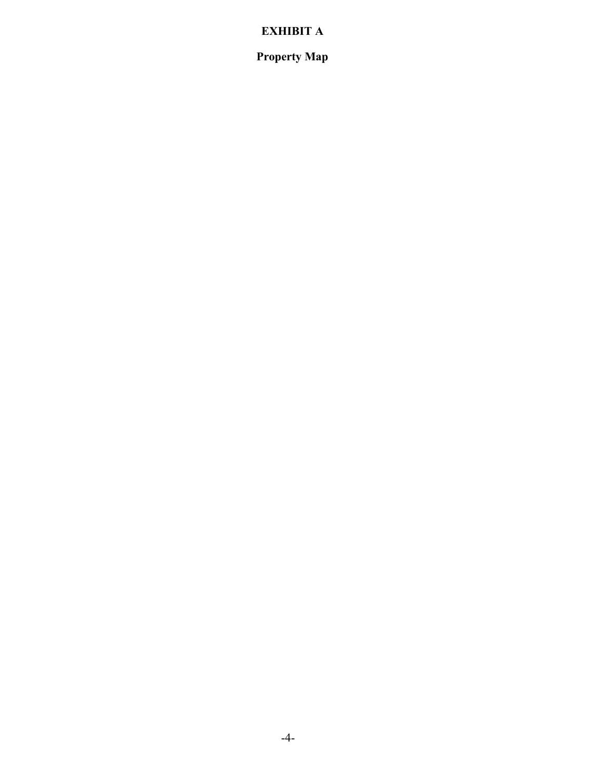## **EXHIBIT A**

**Property Map**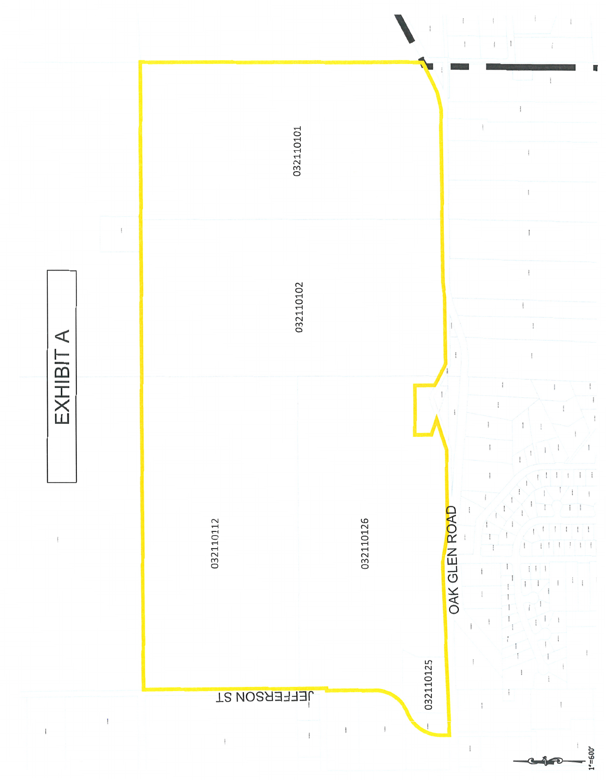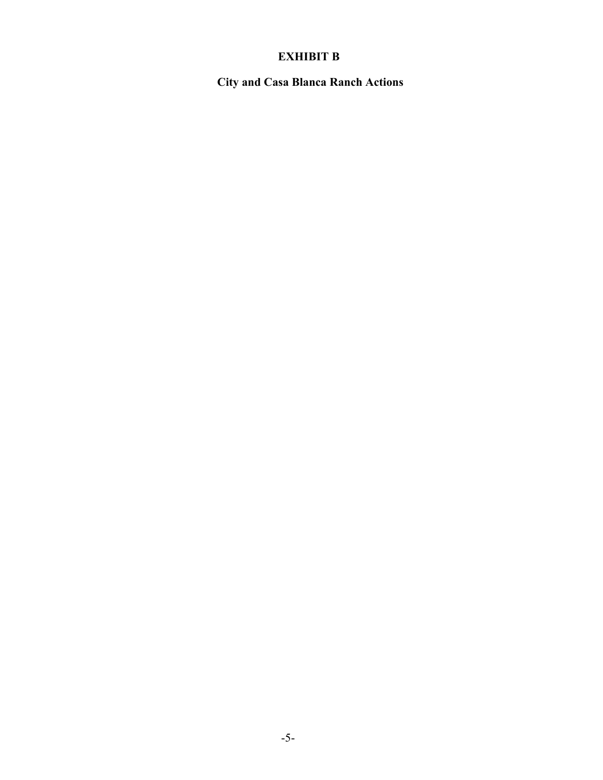## **EXHIBIT B**

**City and Casa Blanca Ranch Actions**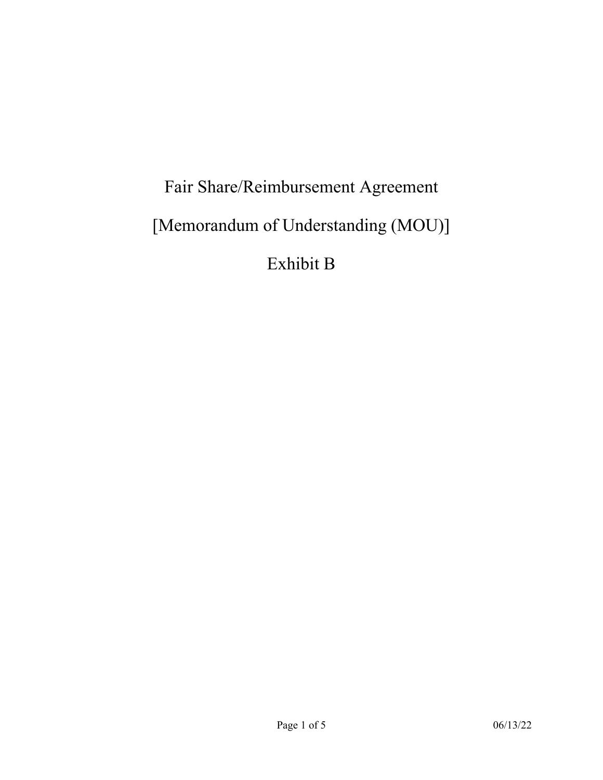# Fair Share/Reimbursement Agreement [Memorandum of Understanding (MOU)] Exhibit B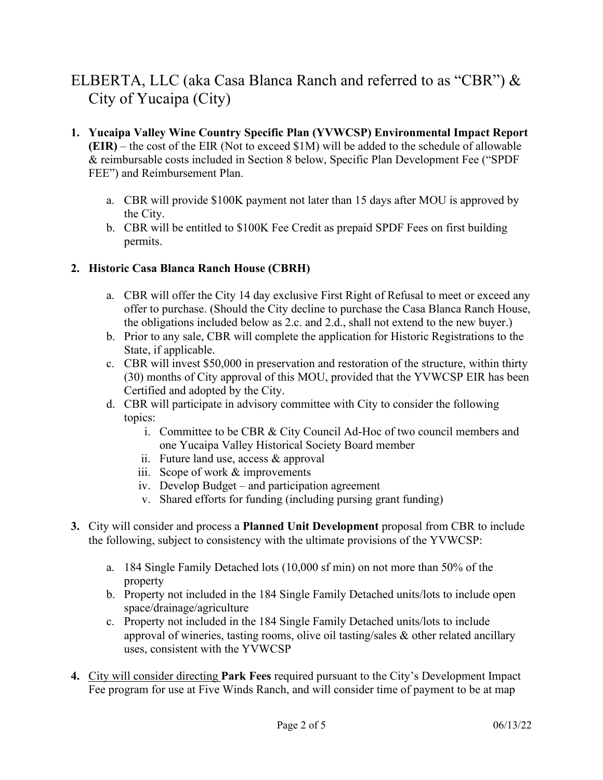## ELBERTA, LLC (aka Casa Blanca Ranch and referred to as "CBR") & City of Yucaipa (City)

- **1. Yucaipa Valley Wine Country Specific Plan (YVWCSP) Environmental Impact Report (EIR)** – the cost of the EIR (Not to exceed \$1M) will be added to the schedule of allowable & reimbursable costs included in Section 8 below, Specific Plan Development Fee ("SPDF FEE") and Reimbursement Plan.
	- a. CBR will provide \$100K payment not later than 15 days after MOU is approved by the City.
	- b. CBR will be entitled to \$100K Fee Credit as prepaid SPDF Fees on first building permits.

## **2. Historic Casa Blanca Ranch House (CBRH)**

- a. CBR will offer the City 14 day exclusive First Right of Refusal to meet or exceed any offer to purchase. (Should the City decline to purchase the Casa Blanca Ranch House, the obligations included below as 2.c. and 2.d., shall not extend to the new buyer.)
- b. Prior to any sale, CBR will complete the application for Historic Registrations to the State, if applicable.
- c. CBR will invest \$50,000 in preservation and restoration of the structure, within thirty (30) months of City approval of this MOU, provided that the YVWCSP EIR has been Certified and adopted by the City.
- d. CBR will participate in advisory committee with City to consider the following topics:
	- i. Committee to be CBR & City Council Ad-Hoc of two council members and one Yucaipa Valley Historical Society Board member
	- ii. Future land use, access & approval
	- iii. Scope of work & improvements
	- iv. Develop Budget and participation agreement
	- v. Shared efforts for funding (including pursing grant funding)
- **3.** City will consider and process a **Planned Unit Development** proposal from CBR to include the following, subject to consistency with the ultimate provisions of the YVWCSP:
	- a. 184 Single Family Detached lots (10,000 sf min) on not more than 50% of the property
	- b. Property not included in the 184 Single Family Detached units/lots to include open space/drainage/agriculture
	- c. Property not included in the 184 Single Family Detached units/lots to include approval of wineries, tasting rooms, olive oil tasting/sales & other related ancillary uses, consistent with the YVWCSP
- **4.** City will consider directing **Park Fees** required pursuant to the City's Development Impact Fee program for use at Five Winds Ranch, and will consider time of payment to be at map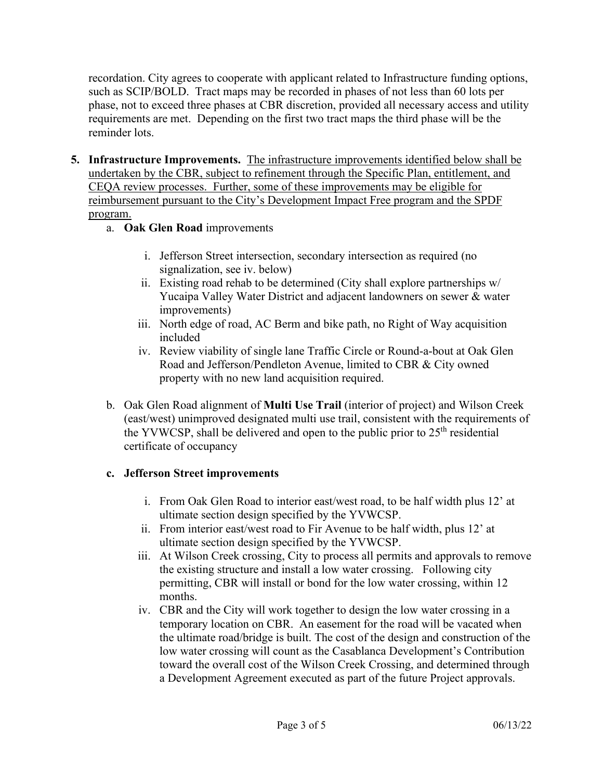recordation. City agrees to cooperate with applicant related to Infrastructure funding options, such as SCIP/BOLD. Tract maps may be recorded in phases of not less than 60 lots per phase, not to exceed three phases at CBR discretion, provided all necessary access and utility requirements are met. Depending on the first two tract maps the third phase will be the reminder lots.

- **5. Infrastructure Improvements.** The infrastructure improvements identified below shall be undertaken by the CBR, subject to refinement through the Specific Plan, entitlement, and CEQA review processes. Further, some of these improvements may be eligible for reimbursement pursuant to the City's Development Impact Free program and the SPDF program.
	- a. **Oak Glen Road** improvements
		- i. Jefferson Street intersection, secondary intersection as required (no signalization, see iv. below)
		- ii. Existing road rehab to be determined (City shall explore partnerships w/ Yucaipa Valley Water District and adjacent landowners on sewer & water improvements)
		- iii. North edge of road, AC Berm and bike path, no Right of Way acquisition included
		- iv. Review viability of single lane Traffic Circle or Round-a-bout at Oak Glen Road and Jefferson/Pendleton Avenue, limited to CBR & City owned property with no new land acquisition required.
	- b. Oak Glen Road alignment of **Multi Use Trail** (interior of project) and Wilson Creek (east/west) unimproved designated multi use trail, consistent with the requirements of the YVWCSP, shall be delivered and open to the public prior to  $25<sup>th</sup>$  residential certificate of occupancy

## **c. Jefferson Street improvements**

- i. From Oak Glen Road to interior east/west road, to be half width plus 12' at ultimate section design specified by the YVWCSP.
- ii. From interior east/west road to Fir Avenue to be half width, plus 12' at ultimate section design specified by the YVWCSP.
- iii. At Wilson Creek crossing, City to process all permits and approvals to remove the existing structure and install a low water crossing. Following city permitting, CBR will install or bond for the low water crossing, within 12 months.
- iv. CBR and the City will work together to design the low water crossing in a temporary location on CBR. An easement for the road will be vacated when the ultimate road/bridge is built. The cost of the design and construction of the low water crossing will count as the Casablanca Development's Contribution toward the overall cost of the Wilson Creek Crossing, and determined through a Development Agreement executed as part of the future Project approvals.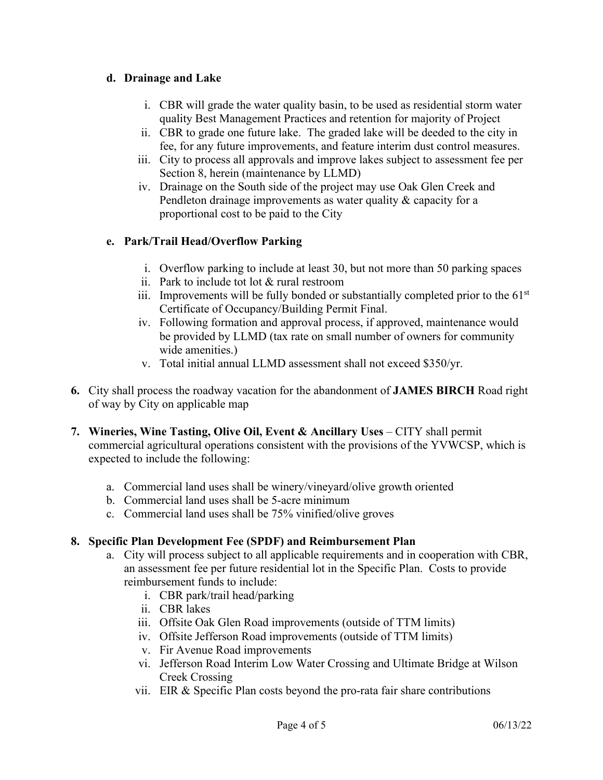## **d. Drainage and Lake**

- i. CBR will grade the water quality basin, to be used as residential storm water quality Best Management Practices and retention for majority of Project
- ii. CBR to grade one future lake. The graded lake will be deeded to the city in fee, for any future improvements, and feature interim dust control measures.
- iii. City to process all approvals and improve lakes subject to assessment fee per Section 8, herein (maintenance by LLMD)
- iv. Drainage on the South side of the project may use Oak Glen Creek and Pendleton drainage improvements as water quality & capacity for a proportional cost to be paid to the City

## **e. Park/Trail Head/Overflow Parking**

- i. Overflow parking to include at least 30, but not more than 50 parking spaces
- ii. Park to include tot lot & rural restroom
- iii. Improvements will be fully bonded or substantially completed prior to the  $61<sup>st</sup>$ Certificate of Occupancy/Building Permit Final.
- iv. Following formation and approval process, if approved, maintenance would be provided by LLMD (tax rate on small number of owners for community wide amenities.)
- v. Total initial annual LLMD assessment shall not exceed \$350/yr.
- **6.** City shall process the roadway vacation for the abandonment of **JAMES BIRCH** Road right of way by City on applicable map
- **7. Wineries, Wine Tasting, Olive Oil, Event & Ancillary Uses** CITY shall permit commercial agricultural operations consistent with the provisions of the YVWCSP, which is expected to include the following:
	- a. Commercial land uses shall be winery/vineyard/olive growth oriented
	- b. Commercial land uses shall be 5-acre minimum
	- c. Commercial land uses shall be 75% vinified/olive groves

## **8. Specific Plan Development Fee (SPDF) and Reimbursement Plan**

- a. City will process subject to all applicable requirements and in cooperation with CBR, an assessment fee per future residential lot in the Specific Plan. Costs to provide reimbursement funds to include:
	- i. CBR park/trail head/parking
	- ii. CBR lakes
	- iii. Offsite Oak Glen Road improvements (outside of TTM limits)
	- iv. Offsite Jefferson Road improvements (outside of TTM limits)
	- v. Fir Avenue Road improvements
	- vi. Jefferson Road Interim Low Water Crossing and Ultimate Bridge at Wilson Creek Crossing
	- vii. EIR & Specific Plan costs beyond the pro-rata fair share contributions